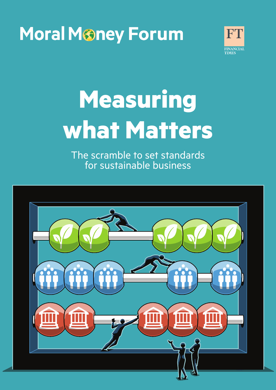## **Moral Money Forum**



# **Measuring what Matters**

The scramble to set standards for sustainable business

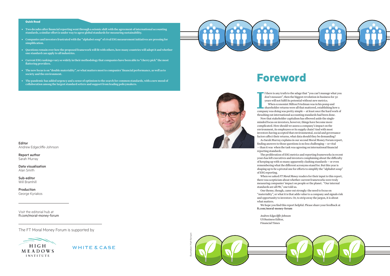### **Foreword**







Visit the editorial hub at ft.com/moral-money-forum

Editor

Andrew Edgecliffe-Johnson

Report author Sarah Murray

Data visualisation



Alan Smith

Sub-editor Will Bramhill

Production George Kyriakos



f there is any truth to the adage that "you can't manage what you<br>don't measure", then the biggest revolution in business for 50<br>years will not fulfil its potential without new metrics.<br>When economist Milton Friedman was i thrashing out international accounting standards had been done. minded focus on investors, however, things have become more complicated. How should we assess a company's impact on the environment, its employees or its supply chain? And with most investors having accepted that environmental, social and governance factors affect their returns, what data should they be demanding? finding answers to those questions is no less challenging — or vital — than it was when the task was agreeing on international financial

f there is any truth to the adage that "you can't manage what you don't measure", then the biggest revolution in business for 50 years will not fulfil its potential without new metrics. When economist Milton Friedman was in his pomp and shareholder returns were all that mattered, establishing how a Now that stakeholder capitalism has elbowed aside the single-As Sarah Murray explains in our second Moral Money Forum report,

reporting standards.

The proliferation of ESG metrics and reporting frameworks in recent years has left executives and investors complaining about the difficulty of keeping up with so many apparently clashing standards — or even remembering what the different acronyms stand for. But this year is shaping up to be a pivotal one for efforts to simplify the "alphabet soup" of ESG reporting.

When we asked *FT Moral Money* readers for their input to this report, there was scepticism about whether current frameworks were truly measuring companies' impact on people or the planet. "Our internal standards are all PR," one told us.

One theme, though, came out strongly: the need to focus on "materiality", or what it is that adds value to a company and signals risk and opportunity to investors. Or, to strip away the jargon, it is about what matters.

We hope you find this report helpful. Please share your feedback at ft.com/moral-money-forum

*Andrew Edgecliffe-Johnson* US Business Editor, Financial Times

#### **Quick Read**

- Two decades after financial reporting went through a seismic shift with the agreement of international accounting standards, a similar effort is under way to agree global standards for measuring sustainability.
- Companies and investors frustrated with the "alphabet soup" of rival ESG measurement initiatives are pressing for simplification.
- Questions remain over how the proposed framework will fit with others, how many countries will adopt it and whether one standard can apply to all industries.
- Current ESG rankings vary so widely in their methodology that companies have been able to "cherry pick" the most flattering providers.
- The new focus is on "double materiality", or what matters most to companies' financial performance, as well as to society and the environment.
- The pandemic has added urgency and a sense of optimism to the search for common standards, with a new mood of collaboration among the largest standard setters and support from leading policymakers.

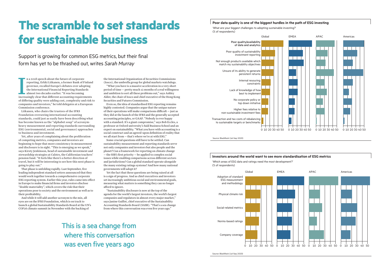## **The scramble to set standards for sustainable business**

Support is growing for common ESG metrics, but their final form has yet to be thrashed out, writes *Sarah Murray*

n a 2018 speech about the future of corporate<br>reporting, Erkki Liikanen, a former Bank of Finland<br>governor, recalled Europe's debates over adopting<br>the International Financial Reporting Standards<br>almost two decades earlier n a 2018 speech about the future of corporate reporting, Erkki Liikanen, a former Bank of Finland governor, recalled Europe's debates over adopting the International Financial Reporting Standards almost two decades earlier. "It was becoming of differing quality were adding cost, complexity and risk to companies and investors," he told delegates at a European Commission conference.

Liikanen, who chairs the trustees of the IFRS Foundation overseeing international accounting standards, could just as easily have been describing what has become known as the "alphabet soup" of acronymheavy measurement and reporting standards surrounding ESG (environmental, social and governance) approaches to business and investment.

Yet, after years of complaining about the proliferation of competing metrics, companies and investors are beginning to hope that more consistency in measurement and disclosure is in sight. "This is emerging as we speak," says Kirsty Jenkinson, head of sustainable investment and stewardship strategies at Calstrs, the Californian teachers' pension fund. "It feels like there's a better direction of travel, but it will be interesting to see how this next phase is going to play out."

That phase is unfolding rapidly. Last September, five leading independent standard setters announced that they would work together towards a comprehensive corporate ESG reporting system. Earlier this year, rules came into effect in Europe to make financial firms and investors disclose "double materiality", which covers the risk that their operations pose to society and the environment as well as to their profitability.

And while it will add another acronym to the mix, all eyes are on the IFRS Foundation, which is on track to launch a global Sustainability Standards Board at the UN's COP26 climate summit in November with the backing of

the International Organization of Securities Commissions (Iosco), the umbrella group for global markets watchdogs.

"What you have is a massive acceleration in a very short period of time — pretty much 12 months of a real willingness and ambition to sort all these problems out," says Ashley Alder, the chair of Iosco and chief executive of the Hong Kong Securities and Futures Commission.

Even so, the idea of standardised ESG reporting remains highly contested. Companies argue that the unique nature of their operations will make comparisons difficult — just as they did at the launch of the IFRS and the generally accepted accounting principles, or GAAP. "Nobody is ever happy with a standard. It's a giant compromise," says Bob Eccles, a professor at Oxford university's Saïd Business School and an expert on sustainability. "What you have with accounting is a social construct and an agreed-upon definition of reality that we all start from — that's where we're at with ESG."

Some crucial questions still have to be settled. Can sustainability measurement and reporting standards serve not only companies and investors but also people and the planet? Can a framework for reporting on climate change — the SSB's first priority — be applied to complex social issues while enabling comparisons across different sectors and jurisdictions? Can a global standard operate alongside the many existing ratings systems? And how many national governments will adopt it?

Yet the fact that these questions are being raised at all is a sign of progress. And as chief executives and investors set increasingly ambitious social and environmental goals, measuring what matters is something they can no longer afford to ignore.

"Sustainability disclosure is now at the top of the agenda for the world's largest investors, the world's largest companies and regulators in almost every major market," says Janine Guillot, chief executive of the Sustainability Accounting Standards Board (SASB). "That's a sea change from where this conversation was even five years ago."

#### **Investors around the world want to see more standardisation of ESG metrics**



Source: BlackRock (Jul-Sep 2020)

'Which areas of ESG data and ratings need the most development?' (% of respondents)



Source: BlackRock (Jul-Sep 2020)

(% of respondents)

This is a sea change from where this conversation was even five years ago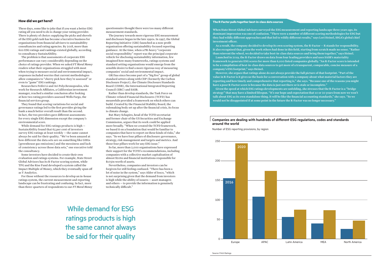#### **How did we get here?**

These days, some like to joke that if you want a better ESG rating all you need to do is change your rating provider. There is plenty of choice: supplying the picks and shovels of the ESG gold rush has become a lucrative business for organisations from financial advisers to sustainability consultancies and rating agencies. By 2018, more than 600 ESG ratings and rankings existed globally, according to consultancy SustainAbility.

The problem is that assessments of corporate ESG performance can vary considerably depending on the choice of ratings provider. When we asked *FT Moral Money* readers what their organisations struggled with most when trying to measure social and environmental impact, responses included worries that current methodologies allow companies to "cherry pick how they're assessed" or even to "game" ESG rankings.

Researchers Feifei Li and Ari Polychronopoulos, who work for Research Affiliates, a Californian investment manager, reached a similar conclusion after looking at how two rating providers assessed Wells Fargo, the financial services group.

They found that scoring variations for social and governance ratings led to the first provider giving the bank a much better overall result than the second. In fact, the two providers gave different assessments for every single ESG dimension except the company's environmental score.

While demand for ESG ratings products is high — SustainAbility found that 65 per cent of investors survey ESG ratings at least weekly — the same cannot always be said for their quality. "We've been amazed at how different the data sets are on something like GHGs [greenhouse gas emissions] and the messiness and lack of consistency across those data sets," one executive told the consultancy.

Some investors have decided to create their own evaluation and ratings systems. For example, State Street Global Advisors has its R-Factor scoring system, while TPG and the Rise Fund developed a system called the Impact Multiple of Money, which they eventually spun off as Y Analytics.

For those without the resources to develop an in-house ratings system, the current measurement and reporting landscape can be frustrating and confusing. In fact, more than three-quarters of respondents to our *FT Moral Money* questionnaire thought there were too many different measurement standards.

The journey towards more rigorous ESG measurement and disclosure began in the late 1990s. In 1997, the Global Reporting Initiative (GRI) launched as a non-profit organisation offering sustainability-focused reporting guidance. At the time, when a PR-heavy "corporate social responsibility" report was the principal corporate vehicle for disclosing sustainability information, few imagined how many frameworks, ratings systems and standard setting organisations would emerge from the sensible desire to find a more rigorous way of measuring companies' social and environmental impact.

GRI has since become part of a "big five" group of global standard setters along with CDP (formerly the Carbon Disclosure Project), the Climate Disclosure Standards Board (CDSB), the International Integrated Reporting Council (IIRC) and SASB.

Rather than develop standards, the Task Force on Climate-related Financial Disclosures (TCFD) has meanwhile provided a framework on which others can build. Created by the Financial Stability Board, the rulemaking body set up after the financial crisis, its focus is climate change.

#### **Companies are dealing with hundreds of different ESG regulations, codes and standards around the world**

But Mary Schapiro, head of the TCFD secretariat and former chair of the US Securities and Exchange Commission, argues that its work could be applied more broadly. "When we created the TCFD framework, we based it on a foundation that would be familiar to companies that have to report on these kinds of risks," she says. "So we have four pillars of disclosure: governance, strategy, risk management and targets and metrics. And those four pillars work for any ESG issue."

So far, more than 2,000 organisations have expressed their support for the TCFD's recommendations, including companies with a collective market capitalisation of almost \$20tn and financial institutions responsible for \$175tn worth of assets.

Nevertheless, companies and investors can be forgiven for still feeling confused. "There has been a lot of noise in the system," says Alder of Iosco, "which is not surprising given that the demand from investors is high while the ability of issuers — asset managers and others — to provide the information is genuinely technically difficult."

While demand for ESG ratings products is high the same cannot always be said for their quality

#### **The R-Factor pulls together best-in-class data sources**

When State Street Global Advisors surveyed the ESG measurement and reporting landscape three years ago, its dominant impression was one of confusion. "There were a number of different scoring methodologies for ESG but they had wildly different approaches and that led to wildly different results," says Lori Heinel, SSGA's global chief investment officer.

As a result, the company decided to develop its own scoring system, the R-Factor — R stands for responsibility. It also recognised that, given the work others had done in this field, starting from scratch made no sense. "Rather than reinvent the wheel, we decided to take best-in-class data sources and bring them together," says Heinel. Launched in 2019, the R-Factor draws on data from four leading providers and uses SASB's materiality framework to generate ESG scores for more than 6,000 listed companies globally. "An R-Factor score is intended to be a compilation of best-in-class data sources to get more of a transparent, comparable, concise measure of a

company's ESG footprint," says Heinel.

However, she argues that ratings alone do not always provide the full picture of that footprint. "Part of the value in R-Factor is it gives us the basis for a conversation with a company about what material factors they are reporting and how timely and comprehensive that reporting is," she says. "Because one of the reasons you might have a poor R-Factor score is because the data is just not there or is stale or incomplete." Given the speed at which ESG ratings developments are unfolding, she stresses that the R-Factor is a "bridge strategy" that may have a limited lifespan. "It's our hope and expectation that 10 or 20 years from now we won't talk about ESG as its own standalone thing. It will be like the financial accounting standards," she says. "So we would not be disappointed if at some point in the future the R-Factor was no longer necessary."



Source: Fitch Ratings



Number of ESG reporting provisions, by region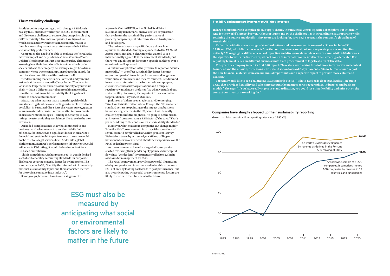#### **The materiality challenge**

As Alder points out, coming up with the right ESG data is no easy task, but those working on the ESG measurement and disclosure challenge are converging on a principle they call "materiality". For until companies have figured out which social and environmental factors really matter to their business, they cannot accurately assess their ESG or sustainability performance.

Companies also need to be able to evaluate the "circularity between impact and dependencies", says Veronica Poole, Deloitte's lead expert on IFRS accounting rules. This means assessing how their footprint affects not only the broader society but also the company. An example might be a drinks company whose water consumption reduces the supply for both local communities and the business itself.

"Understanding that circularity is critical, and you can't just look at the next 12 months," says Poole. "You need to look to the longer term and across the entirety of your value chain — that's a different way of approaching materiality from the current financial materiality thinking when it comes to financial statements."

Measuring what matters is also something with which investors struggle when constructing sustainable investment portfolios. In SustainAbility's Rate the Raters survey, greater focus on materiality ranked second — after improvements in disclosure methodologies — among the changes to ESG ratings investors said they would most like to see in the next five years.

An added complication is that what is material to one business may be less relevant to another. While fuel efficiency, for instance, is a significant factor in an airline's financial and sustainability performance, the same would not be true for a legal services firm. And while a global clothing manufacturer's performance on labour rights would influence its ESG rating, it would be less important for a US-based biotech firm.

This is something SASB has recognised. In 2018 it devised a set of sustainability accounting standards for corporate disclosures covering material issues for 77 industries. The standards, says SASB, "identify the minimal set of financially material sustainability topics and their associated metrics for the typical company in an industry".

Some groups, however, have taken a single-sector

approach. One is GRESB, or the Global Real Estate Sustainability Benchmark, an investor-led organisation that evaluates the sustainability performance of property companies, real estate investment trusts, funds and developers.

The universal-versus-specific debate shows how opinions are divided. Among respondents to the *FT Moral Money* questionnaire, a clear majority wanted to see internationally agreed ESG measurement standards, but there was equal support for sector-specific rankings over a one-size-fits-all approach.

A further complication is the pressure to report on "double materiality" — the effect sustainability issues have not only on companies' financial performance and long-term value but also on society and the environment. Lenders and investors are interested in the former, while employees, customers, civil society organisations and a range of regulators want data on the latter. "So when you talk about sustainability disclosure, it's important to be clear on the target audience," says SASB's Guillot .

Jenkinson of Calstrs sees a regional divide emerging. "You have this bifurcation where Europe, the GRI and other standard setters are pointing to the impact that business has on society, whereas in the US, where it will be really challenging to shift the emphasis, it's going to be the risk to an investor from a company's ESG factors," she says. "That's perhaps adding to the confusion on sustainability standards."

Moreover, what matters to companies can change rapidly. Take the #MeToo movement. In 2017, with accusations of sexual assault being levelled at US film producer Harvey Weinstein, a tweet by actress Alyssa Milano calling on harassment survivors to tweet about their experiences on the #MeToo hashtag went viral.

As the movement achieved scale globally, companies started reviewing their gender equity policies while capital flows into "gender lens" investments swelled to \$2.4bn in assets under management by 2018.

The #MeToo movement provides a powerful illustration of why companies and investors need to be able to measure ESG not only by looking backwards to past performance, but also by anticipating what social or environmental factors are likely to matter to their business in the future.

ESG must also be measured by anticipating what social or environmental factors are likely to matter in the future

#### **Flexibility and nuance are important to AB InBev investors**

In large companies with complex global supply chains, the universal-versus-specific debate plays out internally. And for the world's largest brewer, Anheuser-Busch InBev, the challenge lies in streamlining ESG reporting while retaining the nuance and details its investors are looking for, says Ezgi Barcenas, the company's global head of sustainability.

To do this, AB InBev uses a range of standard setters and measurement frameworks. These include GRI, SASB and CDP, which Barcenas says is "one that our investors care about and a separate process and timeline entirely". Managing the different levels of reporting and disclosure demands resources. And while AB InBev uses third parties to verify its disclosures, when it comes to internal resources, rather than creating a dedicated ESG reporting team, it relies on different business units from procurement to logistics to track the data.

This year the company issued its first ESG report. "Investors were asking for a lot more information and context to understand the mission, the lessons learned and vision forward," says Barcenas. "So we felt we should report the non-financial material issues in our annual report but issue a separate report to provide more colour and context."

Barcenas would like to see a balance as ESG standards evolve. "What's needed is clear standardisation but in a way that provides flexibility and takes into account the nuances across geographies, industries and business models," she says. "If you have really rigorous standardisation, you could lose that flexibility and miss out on the context our investors are asking for."

Source: KPMG

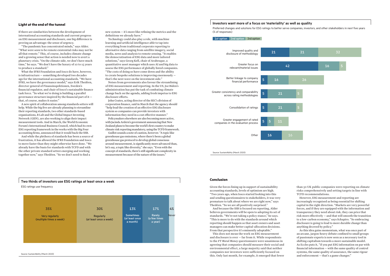#### **Conclusion**

Given the forces lining up in support of sustainability accounting standards, levels of optimism are high. "Two years ago, when Iosco started looking into this and sending questionnaires to stakeholders, it was very premature to talk about where we are right now," says Thedéen. "So we are all positively surprised."

And because the SSB is focused on reporting, Alder believes governments will be open to adopting its set of standards. "We're not taking a policy stance," he says. "This is more to do with the standards around which reporting should happen so that asset owners and asset managers can make better capital-allocation decisions. From that perspective it's eminently adoptable."

This does not mean the work on ESG measurement and disclosure is over — far from it. While respondents to the *FT Moral Money* questionnaire were unanimous in agreeing that companies should measure their social and environmental effect, a large majority said that neither companies nor investors were sufficiently focused on this. Only last month, for example, it emerged that fewer

than 50 UK public companies were reporting on climate risks comprehensively and setting targets in line with TCFD recommendations.

However, ESG measurement and reporting are increasingly recognised as being essential for shifting capital in the right direction. "Markets are very powerful forces, and if they are equipped with the information and transparency they need about risk, they can price that risk more effectively — and that will smooth the transition to a low-carbon economy," says Schapiro. "So embracing disclosure is going to lead to more durable change than anything decreed by policy."

As this idea gains momentum, what was once part of an arcane, jargon-heavy debate confined to small groups of passionate experts is now seen as a necessary tool in shifting capitalism towards a more sustainable model. As Eccles puts it, "if you put ESG information on par with financial information — with the same quality of control systems, the same quality of assurance, the same rigour and enforcement — that's a game changer."

#### **Light at the end of the tunnel**

If there are similarities between the development of international accounting standards and current progress on ESG measurement and disclosure, one big difference is proving an advantage: the sense of urgency.

"The pandemic has concentrated minds," says Alder. "What were seen to be remote existential risks may not be all that remote." This, of course, includes climate change and a growing sense that action is needed now to avert a planetary crisis. "On the climate side, we don't have much time," he says. "We don't have the luxury of 10 to 15 years to produce a standard."

What the IFRS Foundation and Iosco do have, however, is infrastructure — something developed two decades ago for the international accounting standards. "We have IFRS, we have the governance model," says Erik Thedéen, director-general of Finansinspektionen, Sweden's financial regulator, and chair of Iosco's sustainable finance task force. "So what we're doing is building a parallel governance structure inspired by the financial part of it that, of course, makes it easier."

A new spirit of collaboration among standards setters will help. While the big five are already planning to streamline their reporting standards, two other standards-based organisations, B Lab and the Global Impact Investing Network (GIIN), are also working to align their impact measurement tools. And in March, the World Economic Forum's International Business Council, which had its own ESG reporting framework in the works with the Big Four accounting firms, announced that it would back the SSB.

And while the plethora of standards has been a source of frustration, it has allowed the IFRS Foundation and Iosco to move faster than they might otherwise have done. "We already have the basis for standards with TCFD and with the other private standard setters merging and working together now," says Thedéen. "So we don't need to find a

new system — it's more like refining the metrics and the definitions we already have."

Technology could also play a role, with machine learning and artificial intelligence able to tap into everything from traditional corporate reporting to alternative data ranging from satellite imagery, social media, news and analysis to remote sensing. "It enables the democratisation of ESG data and more tailored solutions," says Georg Kell, chair of Arabesque, a quantitative asset manager which uses AI and big data to assess the ESG performance of globally listed companies. "The costs of doing so have come down and the ability to create bespoke solutions is improving enormously that's the next wave on the investment side."

Noises from governments also favour the streamlining of ESG measurement and reporting. In the US, Joe Biden's administration has put the task of combating climate change back on the agenda, adding fresh impetus to ESG disclosure efforts.

John Coates, acting director of the SEC's division of corporation finance, said in March that the agency should "help lead the creation of an effective ESG disclosure system so companies can provide investors with information they need in a cost effective manner."

Policymakers elsewhere are also becoming more active, with Jacinda Ardern's government announcing that New Zealand plans to become the world's first country to make climate risk reporting mandatory, using the TCFD framework.

Guillot sounds a note of caution, however. "A topic like greenhouse gas emissions, where there's been a global greenhouse gas protocol to develop global consensus around measurement, is significantly more advanced than, let's say, a topic like diversity," she says. "Even with the concept of standards, there's still significant complexity in measurement because of the nature of the issues."



Source: SustainAbility (March 2020)

#### **Investors want more of a focus on 'materiality' as well as quality** Preferred changes and solutions for ESG ratings to better serve companies, investors, and other stakeholders in next five years

(% of responses)

#### 1st option 2nd option 3rd option



### **Two thirds of investors use ESG ratings at least once a week**

Source: SustainAbility (March 2020)

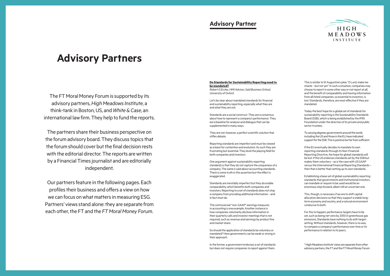### **Advisory Partner**

#### **Do Standards for Sustainability Reporting need to be mandated?**

*Robert G Eccles, HMI Advisor, Saïd Business School, University of Oxford*

Let's be clear about mandated standards for financial and sustainability reporting, especially what they are and what they are not.

Standards are a social construct. They are a consensus about how to represent a company's performance. They are a baseline for analysis and dialogue that can be supplemented in many ways.

They are not, however, a perfect scientific solution that stifles debate.

Reporting standards are imperfect and must be viewed as a basis for contention and evolution. As such they are frustrating but essential. They level the playing field for both companies and investors.

One argument against sustainability reporting standards is that they do not capture the uniqueness of a company. The same is said about accounting standards. There is some truth in this assertion but the effect is exaggerated.

Standards are inevitably imperfect but they do enable comparability, which benefits both companies and investors. Reporting to a set of standards does not stop a company from providing additional information – and in fact most do.

The controversial "non-GAAP" earnings measures in accounting is one example. Another instance is how companies voluntarily disclose information in their quarterly calls and investor meetings that is not required, such as revenue and earnings by product line and market share.

So should the application of standards be voluntary or mandated? Here governments can be weak or strong in their approach.

In the former, a government endorses a set of standards but does not require companies to report against them.



The FT Moral Money Forum is supported by its advisory partners, *High Meadows Institute*, a think-tank in Boston, US, and *White & Case*, an international law firm. They help to fund the reports.

The partners share their business perspective on the forum advisory board. They discuss topics that the forum should cover but the final decision rests with the editorial director. The reports are written by a Financial Times journalist and are editorially independent.

Our partners feature in the following pages. Each profiles their business and offers a view on how we can focus on what matters in measuring ESG. Partners' views stand alone: they are separate from each other, the FT and the *FT Moral Money Forum*.

## **Advisory Partners**

This is similar to St Augustine's plea: "O Lord, make me chaste – but not yet." In such a situation, companies may choose to report in some other way or not report at all, and the benefit of comparability and having information from all listed companies, so essential to investors, is lost. Standards, therefore, are most effective if they are mandated.

Today the best hope for a global set of standards for sustainability reporting is the Sustainability Standards Board (SSB), which is being established by the IFRS Foundation under the direction of its private and public sector trustees.

To varying degrees governments around the world, including the US and those in the EU, have indicated support for the SSB. This is positive but far from sufficient.

If the EU eventually decides to mandate its own reporting standards through its Non-Financial Reporting Directive, the hope for global standards will be lost. If the US endorses standards set by the SSB but makes them voluntary – as is the case with US GAAP versus the International Financial Reporting Standards – then that is better than setting up its own standards.

Establishing a base set of global sustainability reporting standards that governments and institutional investors can mandate or require to be used would be an enormous step forward, albeit still an uncertain one.

This, though, is necessary if we are to shift capital allocation decisions so that they support a stable longterm economy and society, and a natural environment conducive to both.

For this to happen, performance targets have to be set, such as being net-zero by 2050 in greenhouse gas emissions. Standards have nothing to do with targetsetting. Without standards, however, there is no way to compare a company's performance over time or its performance in relation to its peers.

*\* High Meadows Institute' views are separate from other advisory partners, the FT and the FT Moral Money Forum*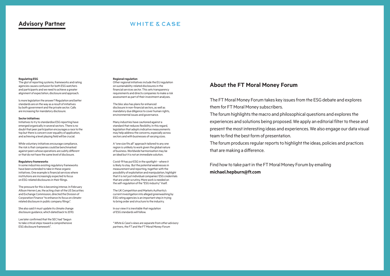### **Advisory Partner**

#### **WHITE & CASE**

#### **Regulating ESG**

The glut of reporting systems, frameworks and rating agencies causes confusion for both ESG watchers and participants and we need to achieve a greater alignment of expectation, disclosure and approach.

Is more legislation the answer? Regulation and better standards are on the way as a result of initiatives by both government and the private sector. Calls are increasing for mandatory disclosure.

#### **Sector initiatives**

Initiatives to try to standardise ESG reporting have emerged organically in several sectors. There is no doubt that peer participation encourages a race to the top but there is concern over equality of application, and achieving a level playing field will be crucial.

While voluntary initiatives encourage compliance, the risk is that companies could be benchmarked against peers whose operations are subtly different or that do not have the same level of disclosure.

#### **Regulatory frameworks**

In some industries existing regulatory frameworks have been extended to take in these organic initiatives. One example is financial services where institutions are increasingly expected to focus on ESG-related disclosures in their filings.

The pressure for this is becoming intense. In February Allison Herren Lee, the acting chair of the US Securities and Exchange Commission, directed the Division of Corporation Finance "to enhance its focus on climaterelated disclosure in public company filings".

She also said it must update its climate change disclosure guidance, which dated back to 2010.

Lee later confirmed that the SEC had "begun to take critical steps toward a comprehensive ESG disclosure framework".

#### **Regional regulation**

Other regional initiatives include the EU regulation on sustainability-related disclosures in the financial services sector. This sets transparency requirements and directs companies to make a risk assessment as part of their investment analyses.

The bloc also has plans for enhanced disclosure in non-financial sectors, as well as mandatory due diligence to cover human rights, environmental issues and governance.

Many industries have cautioned against a standard that reduces flexibility. In this regard, legislation that adopts indicative measurements may help address the concerns, especially across sectors and with businesses of varying sizes.

A "one size fits all" approach tailored to any one region is unlikely to work given the global nature of business. Worldwide harmonisation may be an ideal but it is not an immediate solution.

Covid-19 has put ESG in the spotlight – where it is likely to stay. But the potential weaknesses in measurement and reporting, together with the possibility of exploitation and manipulation, highlight that it is not just individual companies' ESG credentials that are under scrutiny. More work is needed on the self-regulation of the "ESG industry" itself.

The UK Competition and Markets Authority's current investigation into alleged greenwashing by ESG rating agencies is an important step in trying to bring order and structure to the industry.

In our view it is inevitable that regulation of ESG standards will follow.

*\* White & Case's views are separate from other advisory partners, the FT and the FT Moral Money Forum* 

The FT Moral Money Forum takes key issues from the ESG debate and explores them for FT Moral Money subscribers. The forum highlights the macro and philosophical questions and explores the experiences and solutions being proposed. We apply an editorial filter to these and present the most interesting ideas and experiences. We also engage our data visual team to find the best form of presentation. The forum produces regular reports to highlight the ideas, policies and practices that are making a difference.

Find how to take part in the FT Moral Money Forum by emailing **michael.hepburn@ft.com**

#### **About the FT Moral Money Forum**